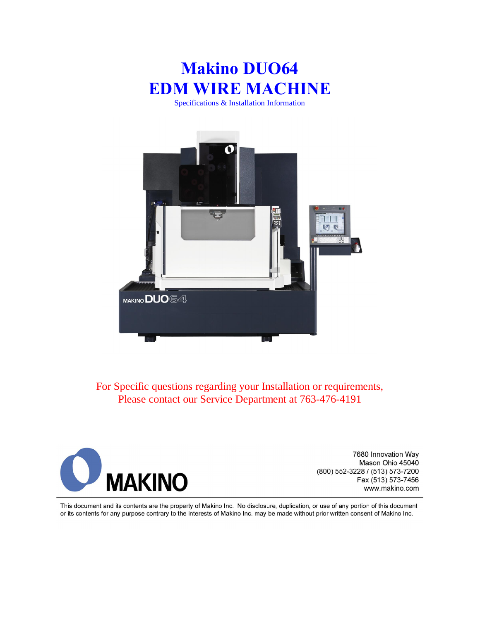# **Makino DUO64 EDM WIRE MACHINE**

Specifications & Installation Information



For Specific questions regarding your Installation or requirements, Please contact our Service Department at 763-476-4191



7680 Innovation Way Mason Ohio 45040 (800) 552-3228 / (513) 573-7200 Fax (513) 573-7456 www.makino.com

This document and its contents are the property of Makino Inc. No disclosure, duplication, or use of any portion of this document or its contents for any purpose contrary to the interests of Makino Inc. may be made without prior written consent of Makino Inc.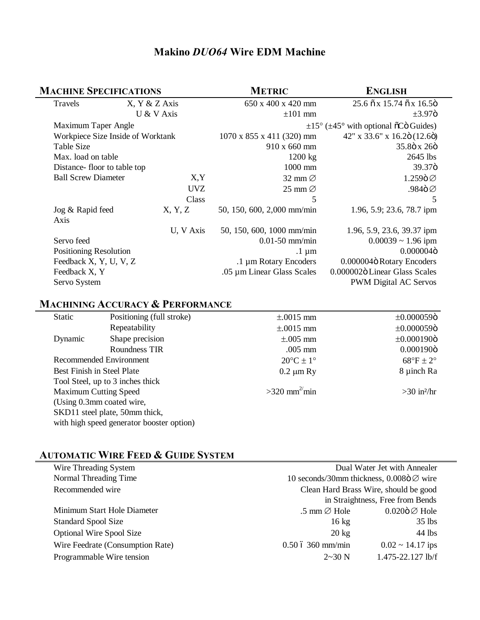# **Makino** *DUO64* **Wire EDM Machine**

| <b>MACHINE SPECIFICATIONS</b>     |                    | <b>METRIC</b>                                                 | <b>ENGLISH</b>                                              |
|-----------------------------------|--------------------|---------------------------------------------------------------|-------------------------------------------------------------|
| Travels                           | $X, Y \& Z A x is$ | 650 x 400 x 420 mm                                            | 25.6 $\tilde{o}$ x 15.74 $\tilde{o}$ x 16.5 $\tilde{o}$     |
|                                   | U & V Axis         | $\pm 101$ mm                                                  | $\pm 3.97$ ö                                                |
| Maximum Taper Angle               |                    | $\pm 15^{\circ}$ ( $\pm 45^{\circ}$ with optional õCö Guides) |                                                             |
| Workpiece Size Inside of Worktank |                    | $1070 \times 855 \times 411$ (320) mm                         | $42''$ x 33.6" x 16.2 $\ddot{\rm o}$ (12.6 $\ddot{\rm o}$ ) |
| Table Size                        |                    | 910 x 660 mm                                                  | 35.8ö x 26ö                                                 |
| Max. load on table                |                    | 1200 kg                                                       | 2645 lbs                                                    |
| Distance-floor to table top       |                    | 1000 mm                                                       | 39.37ö                                                      |
| <b>Ball Screw Diameter</b>        | X, Y               | 32 mm $\varnothing$                                           | 1.259ö⊘                                                     |
|                                   | <b>UVZ</b>         | 25 mm $\varnothing$                                           | .984ö ∅                                                     |
|                                   | Class              | 5                                                             | 5                                                           |
| Jog & Rapid feed                  | X, Y, Z            | 50, 150, 600, 2,000 mm/min                                    | 1.96, 5.9; 23.6, 78.7 ipm                                   |
| Axis                              |                    |                                                               |                                                             |
|                                   | U, V Axis          | 50, 150, 600, 1000 mm/min                                     | 1.96, 5.9, 23.6, 39.37 ipm                                  |
| Servo feed                        |                    | $0.01-50$ mm/min                                              | $0.00039 \sim 1.96$ ipm                                     |
| <b>Positioning Resolution</b>     |                    | $.1 \mu m$                                                    | 0.000004ö                                                   |
| Feedback X, Y, U, V, Z            |                    | .1 µm Rotary Encoders                                         | 0.000004ö Rotary Encoders                                   |
| Feedback X, Y                     |                    | .05 µm Linear Glass Scales                                    | 0.000002ö Linear Glass Scales                               |
| Servo System                      |                    |                                                               | PWM Digital AC Servos                                       |

# **MACHINING ACCURACY & PERFORMANCE**

| Static                       | Positioning (full stroke)                 | $\pm$ .0015 mm             | $\pm 0.000059$ ö          |
|------------------------------|-------------------------------------------|----------------------------|---------------------------|
|                              | Repeatability                             | $\pm$ .0015 mm             | $\pm 0.000059$ ö          |
| Dynamic                      | Shape precision                           | $\pm$ .005 mm              | $±0.000190$ ö             |
|                              | Roundness TIR                             | $.005$ mm                  | 0.000190ö                 |
| Recommended Environment      |                                           | $20^{\circ}$ C ± 1°        | $68^{\circ}$ F ± 2°       |
| Best Finish in Steel Plate   |                                           | $0.2 \mu m$ Ry             | 8 µinch Ra                |
|                              | Tool Steel, up to 3 inches thick          |                            |                           |
| <b>Maximum Cutting Speed</b> |                                           | $>320$ mm <sup>2</sup> min | $>30$ in <sup>2</sup> /hr |
| (Using 0.3mm coated wire,    |                                           |                            |                           |
|                              | SKD11 steel plate, 50mm thick,            |                            |                           |
|                              | with high speed generator booster option) |                            |                           |

# **AUTOMATIC WIRE FEED & GUIDE SYSTEM**

| Wire Threading System            |                                                      | Dual Water Jet with Annealer     |  |
|----------------------------------|------------------------------------------------------|----------------------------------|--|
| Normal Threading Time            | 10 seconds/30mm thickness, 0.008 $\ddot{\circ}$ wire |                                  |  |
| Recommended wire                 | Clean Hard Brass Wire, should be good                |                                  |  |
|                                  |                                                      | in Straightness, Free from Bends |  |
| Minimum Start Hole Diameter      | .5 mm $\varnothing$ Hole                             | $0.020$ ö $\varnothing$ Hole     |  |
| <b>Standard Spool Size</b>       | $16 \text{ kg}$                                      | $35$ lbs                         |  |
| <b>Optional Wire Spool Size</b>  | $20 \text{ kg}$                                      | 44 lbs                           |  |
| Wire Feedrate (Consumption Rate) | $0.50$ ó 360 mm/min                                  | $0.02 \sim 14.17$ ips            |  |
| Programmable Wire tension        | $2 \sim 30$ N                                        | 1.475-22.127 lb/f                |  |
|                                  |                                                      |                                  |  |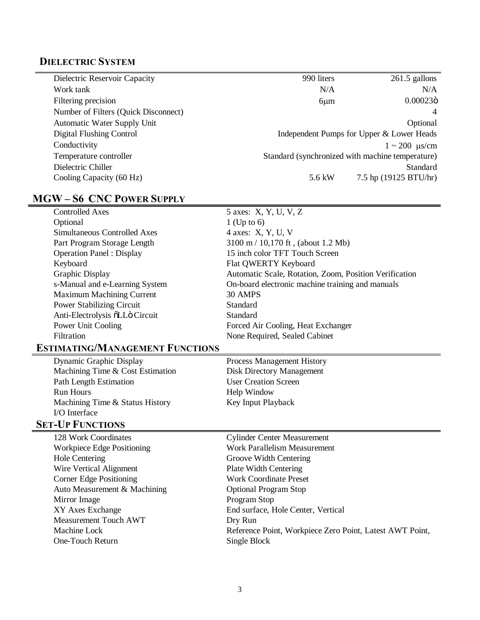# **DIELECTRIC SYSTEM**

| Dielectric Reservoir Capacity        | 990 liters | $261.5$ gallons                                  |
|--------------------------------------|------------|--------------------------------------------------|
| Work tank                            | N/A        | N/A                                              |
| Filtering precision                  | $6 \mu m$  | 0.00023ö                                         |
| Number of Filters (Quick Disconnect) |            |                                                  |
| <b>Automatic Water Supply Unit</b>   |            | Optional                                         |
| Digital Flushing Control             |            | Independent Pumps for Upper & Lower Heads        |
| Conductivity                         |            | $1 \sim 200$ us/cm                               |
| Temperature controller               |            | Standard (synchronized with machine temperature) |
| Dielectric Chiller                   |            | Standard                                         |
| Cooling Capacity (60 Hz)             | 5.6 kW     | 7.5 hp (19125 BTU/hr)                            |

# **MGW – S6 CNC POWER SUPPLY**

| <b>Controlled Axes</b>                 | 5 axes: X, Y, U, V, Z                                    |
|----------------------------------------|----------------------------------------------------------|
| Optional                               | $1$ (Up to 6)                                            |
| <b>Simultaneous Controlled Axes</b>    | 4 axes: X, Y, U, V                                       |
| Part Program Storage Length            | 3100 m / 10,170 ft, (about 1.2 Mb)                       |
| <b>Operation Panel: Display</b>        | 15 inch color TFT Touch Screen                           |
| Keyboard                               | Flat QWERTY Keyboard                                     |
| Graphic Display                        | Automatic Scale, Rotation, Zoom, Position Verification   |
| s-Manual and e-Learning System         | On-board electronic machine training and manuals         |
| <b>Maximum Machining Current</b>       | 30 AMPS                                                  |
| <b>Power Stabilizing Circuit</b>       | Standard                                                 |
| Anti-Electrolysis õLLö Circuit         | Standard                                                 |
| Power Unit Cooling                     | Forced Air Cooling, Heat Exchanger                       |
| Filtration                             | None Required, Sealed Cabinet                            |
| <b>ESTIMATING/MANAGEMENT FUNCTIONS</b> |                                                          |
| Dynamic Graphic Display                | <b>Process Management History</b>                        |
| Machining Time & Cost Estimation       | <b>Disk Directory Management</b>                         |
| <b>Path Length Estimation</b>          | <b>User Creation Screen</b>                              |
| <b>Run Hours</b>                       | Help Window                                              |
| Machining Time & Status History        | Key Input Playback                                       |
| I/O Interface                          |                                                          |
| <b>SET-UP FUNCTIONS</b>                |                                                          |
| 128 Work Coordinates                   | <b>Cylinder Center Measurement</b>                       |
| Workpiece Edge Positioning             | <b>Work Parallelism Measurement</b>                      |
| <b>Hole Centering</b>                  | Groove Width Centering                                   |
| Wire Vertical Alignment                | <b>Plate Width Centering</b>                             |
| <b>Corner Edge Positioning</b>         | <b>Work Coordinate Preset</b>                            |
| Auto Measurement & Machining           | <b>Optional Program Stop</b>                             |
| Mirror Image                           | Program Stop                                             |
| XY Axes Exchange                       | End surface, Hole Center, Vertical                       |
| <b>Measurement Touch AWT</b>           | Dry Run                                                  |
| Machine Lock                           | Reference Point, Workpiece Zero Point, Latest AWT Point, |
| One-Touch Return                       | Single Block                                             |
|                                        |                                                          |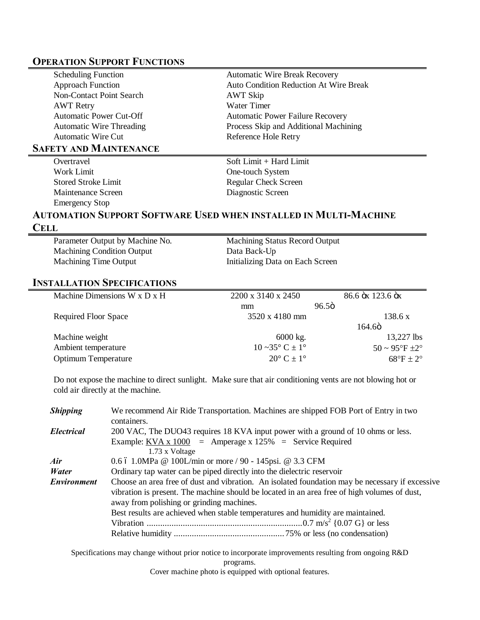#### **OPERATION SUPPORT FUNCTIONS**

| <b>Scheduling Function</b>      | <b>Automatic Wire Break Recovery</b>          |
|---------------------------------|-----------------------------------------------|
| <b>Approach Function</b>        | <b>Auto Condition Reduction At Wire Break</b> |
| Non-Contact Point Search        | AWT Skip                                      |
| <b>AWT</b> Retry                | Water Timer                                   |
| <b>Automatic Power Cut-Off</b>  | <b>Automatic Power Failure Recovery</b>       |
| <b>Automatic Wire Threading</b> | Process Skip and Additional Machining         |
| Automatic Wire Cut              | Reference Hole Retry                          |
| <b>SAFETY AND MAINTENANCE</b>   |                                               |
| Overtravel                      | Soft Limit + Hard Limit                       |
| Work Limit                      | One-touch System                              |

Maintenance Screen Diagnostic Screen Emergency Stop

Stored Stroke Limit Regular Check Screen

### **AUTOMATION SUPPORT SOFTWARE USED WHEN INSTALLED IN MULTI-MACHINE**

#### **CELL**

Machining Condition Output Data Back-Up Machining Time Output Initializing Data on Each Screen

Parameter Output by Machine No. Machining Status Record Output

#### **INSTALLATION SPECIFICATIONS**

| Machine Dimensions W x D x H | 2200 x 3140 x 2450                   | 86.6 öx 123.6 öx |                                     |  |
|------------------------------|--------------------------------------|------------------|-------------------------------------|--|
|                              | mm                                   | 96.5ö            |                                     |  |
| <b>Required Floor Space</b>  | 3520 x 4180 mm                       |                  | 138.6 x                             |  |
|                              |                                      | 164.6ö           |                                     |  |
| Machine weight               | $6000 \text{ kg}$ .                  |                  | $13,227$ lbs                        |  |
| Ambient temperature          | $10 \sim 35^{\circ} C \pm 1^{\circ}$ |                  | $50 \sim 95^{\circ}F \pm 2^{\circ}$ |  |
| <b>Optimum Temperature</b>   | $20^{\circ}$ C $\pm$ 1 <sup>o</sup>  |                  | $68^{\circ}$ F ± 2°                 |  |

Do not expose the machine to direct sunlight. Make sure that air conditioning vents are not blowing hot or cold air directly at the machine.

| <b>Shipping</b>    | We recommend Air Ride Transportation. Machines are shipped FOB Port of Entry in two<br>containers.                                                                                                                                                                                                                              |  |  |  |
|--------------------|---------------------------------------------------------------------------------------------------------------------------------------------------------------------------------------------------------------------------------------------------------------------------------------------------------------------------------|--|--|--|
| <b>Electrical</b>  | 200 VAC, The DUO43 requires 18 KVA input power with a ground of 10 ohms or less.<br>Example: $KVA \times 1000 =$ Amperage x 125% = Service Required<br>1.73 x Voltage                                                                                                                                                           |  |  |  |
| Air                | 0.6 ó 1.0MPa @ 100L/min or more / 90 - 145psi. @ 3.3 CFM                                                                                                                                                                                                                                                                        |  |  |  |
| Water              | Ordinary tap water can be piped directly into the dielectric reservoir                                                                                                                                                                                                                                                          |  |  |  |
| <b>Environment</b> | Choose an area free of dust and vibration. An isolated foundation may be necessary if excessive<br>vibration is present. The machine should be located in an area free of high volumes of dust,<br>away from polishing or grinding machines.<br>Best results are achieved when stable temperatures and humidity are maintained. |  |  |  |

Specifications may change without prior notice to incorporate improvements resulting from ongoing R&D

programs.

Cover machine photo is equipped with optional features.